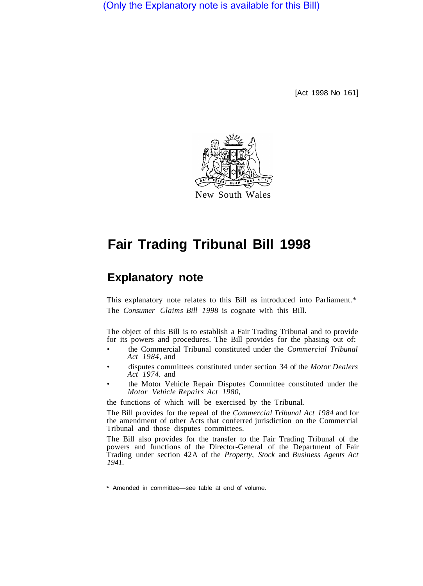(Only the Explanatory note is available for this Bill)

[Act 1998 No 161]



New South Wales

# **Fair Trading Tribunal Bill 1998**

## **Explanatory note**

This explanatory note relates to this Bill as introduced into Parliament.\* The *Consumer Claims Bill 1998* is cognate with this Bill.

The object of this Bill is to establish a Fair Trading Tribunal and to provide for its powers and procedures. The Bill provides for the phasing out of:

- the Commercial Tribunal constituted under the *Commercial Tribunal Act 1984,* and
- disputes committees constituted under section 34 of the *Motor Dealers Act 1974.* and
- the Motor Vehicle Repair Disputes Committee constituted under the *Motor Vehicle Repairs Act 1980,*

the functions of which will be exercised by the Tribunal.

The Bill provides for the repeal of the *Commercial Tribunal Act 1984* and for the amendment of other Acts that conferred jurisdiction on the Commercial Tribunal and those disputes committees.

The Bill also provides for the transfer to the Fair Trading Tribunal of the powers and functions of the Director-General of the Department of Fair Trading under section 42A of the *Property, Stock* and *Business Agents Act 1941.* 

Amended in committee—see table at end of volume.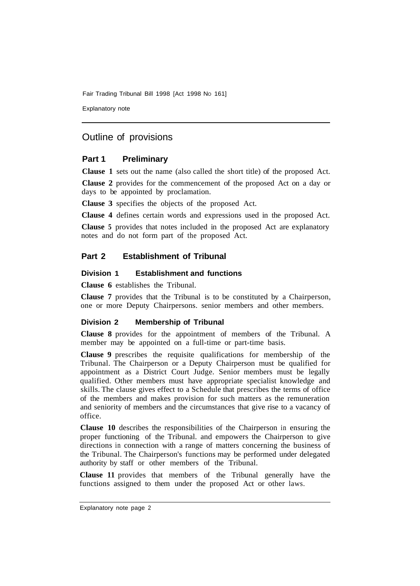Explanatory note

### Outline of provisions

#### **Part 1 Preliminary**

**Clause 1** sets out the name (also called the short title) of the proposed Act.

**Clause 2** provides for the commencement of the proposed Act on a day or days to be appointed by proclamation.

**Clause 3** specifies the objects of the proposed Act.

**Clause 4** defines certain words and expressions used in the proposed Act.

**Clause 5** provides that notes included in the proposed Act are explanatory notes and do not form part of the proposed Act.

#### **Part 2 Establishment of Tribunal**

#### **Division 1 Establishment and functions**

**Clause 6** establishes the Tribunal.

**Clause 7** provides that the Tribunal is to be constituted by a Chairperson, one or more Deputy Chairpersons. senior members and other members.

#### **Division 2 Membership of Tribunal**

**Clause 8** provides for the appointment of members of the Tribunal. A member may be appointed on a full-time or part-time basis.

**Clause 9** prescribes the requisite qualifications for membership of the Tribunal. The Chairperson or a Deputy Chairperson must be qualified for appointment as a District Court Judge. Senior members must be legally qualified. Other members must have appropriate specialist knowledge and skills. The clause gives effect to a Schedule that prescribes the terms of office of the members and makes provision for such matters as the remuneration and seniority of members and the circumstances that give rise to a vacancy of office.

**Clause 10** describes the responsibilities of the Chairperson in ensuring the proper functioning of the Tribunal. and empowers the Chairperson to give directions in connection with a range of matters concerning the business of the Tribunal. The Chairperson's functions may be performed under delegated authority by staff or other members of the Tribunal.

**Clause 11** provides that members of the Tribunal generally have the functions assigned to them under the proposed Act or other laws.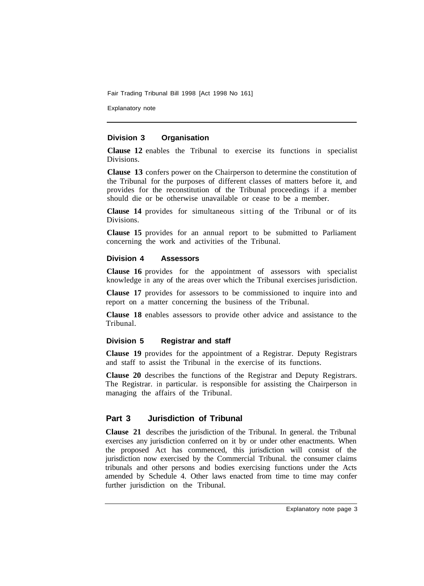Explanatory note

#### **Division 3 Organisation**

**Clause 12** enables the Tribunal to exercise its functions in specialist Divisions.

**Clause 13** confers power on the Chairperson to determine the constitution of the Tribunal for the purposes of different classes of matters before it, and provides for the reconstitution of the Tribunal proceedings if a member should die or be otherwise unavailable or cease to be a member.

**Clause 14** provides for simultaneous sitting of the Tribunal or of its Divisions.

**Clause 15** provides for an annual report to be submitted to Parliament concerning the work and activities of the Tribunal.

#### **Division 4 Assessors**

**Clause 16** provides for the appointment of assessors with specialist knowledge in any of the areas over which the Tribunal exercises jurisdiction.

**Clause 17** provides for assessors to be commissioned to inquire into and report on a matter concerning the business of the Tribunal.

**Clause 18** enables assessors to provide other advice and assistance to the Tribunal.

#### **Division 5 Registrar and staff**

**Clause 19** provides for the appointment of a Registrar. Deputy Registrars and staff to assist the Tribunal in the exercise of its functions.

**Clause 20** describes the functions of the Registrar and Deputy Registrars. The Registrar. in particular. is responsible for assisting the Chairperson in managing the affairs of the Tribunal.

#### **Part 3 Jurisdiction of Tribunal**

**Clause 21** describes the jurisdiction of the Tribunal. In general. the Tribunal exercises any jurisdiction conferred on it by or under other enactments. When the proposed Act has commenced, this jurisdiction will consist of the jurisdiction now exercised by the Commercial Tribunal. the consumer claims tribunals and other persons and bodies exercising functions under the Acts amended by Schedule 4. Other laws enacted from time to time may confer further jurisdiction on the Tribunal.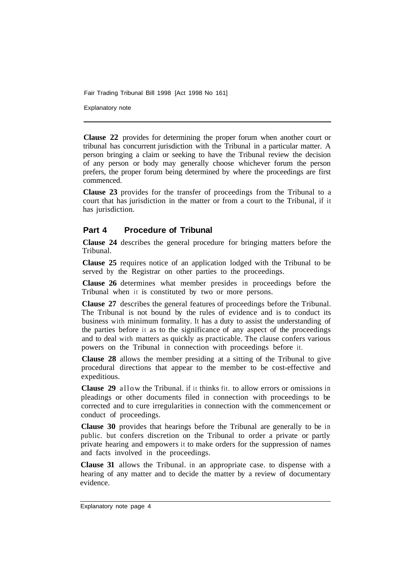Explanatory note

**Clause 22** provides for determining the proper forum when another court or tribunal has concurrent jurisdiction with the Tribunal in a particular matter. A person bringing a claim or seeking to have the Tribunal review the decision of any person or body may generally choose whichever forum the person prefers, the proper forum being determined by where the proceedings are first commenced.

**Clause 23** provides for the transfer of proceedings from the Tribunal to a court that has jurisdiction in the matter or from a court to the Tribunal, if it has jurisdiction.

#### **Part 4 Procedure of Tribunal**

**Clause 24** describes the general procedure for bringing matters before the Tribunal.

**Clause 25** requires notice of an application lodged with the Tribunal to be served by the Registrar on other parties to the proceedings.

**Clause 26** determines what member presides in proceedings before the Tribunal when it is constituted by two or more persons.

**Clause 27** describes the general features of proceedings before the Tribunal. The Tribunal is not bound by the rules of evidence and is to conduct its business with minimum formality. It has a duty to assist the understanding of the parties before it as to the significance of any aspect of the proceedings and to deal with matters as quickly as practicable. The clause confers various powers on the Tribunal in connection with proceedings before it.

**Clause 28** allows the member presiding at a sitting of the Tribunal to give procedural directions that appear to the member to be cost-effective and expeditious.

**Clause 29** allow the Tribunal. if it thinks fit. to allow errors or omissions in pleadings or other documents filed in connection with proceedings to be corrected and to cure irregularities in connection with the commencement or conduct of proceedings.

**Clause 30** provides that hearings before the Tribunal are generally to be in public. but confers discretion on the Tribunal to order a private or partly private hearing and empowers it to make orders for the suppression of names and facts involved in the proceedings.

**Clause 31** allows the Tribunal. in an appropriate case. to dispense with a hearing of any matter and to decide the matter by a review of documentary evidence.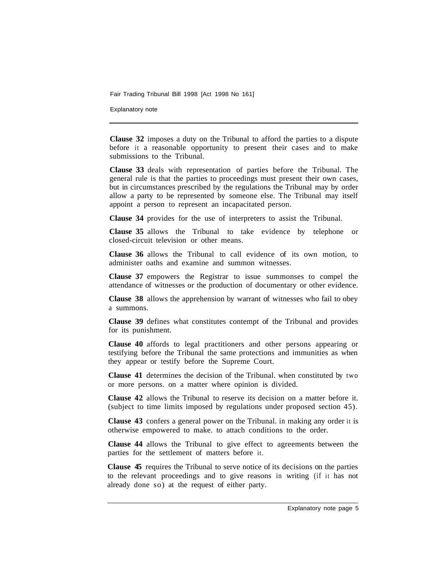Explanatory note

**Clause 32** imposes a duty on the Tribunal to afford the parties to a dispute before it a reasonable opportunity to present their cases and to make submissions to the Tribunal.

**Clause 33** deals with representation of parties before the Tribunal. The general rule is that the parties to proceedings must present their own cases, but in circumstances prescribed by the regulations the Tribunal may by order allow a party to be represented by someone else. The Tribunal may itself appoint a person to represent an incapacitated person.

**Clause 34** provides for the use of interpreters to assist the Tribunal.

**Clause 35** allows the Tribunal to take evidence by telephone or closed-circuit television or other means.

**Clause 36** allows the Tribunal to call evidence of its own motion, to administer oaths and examine and summon witnesses.

**Clause 37** empowers the Registrar to issue summonses to compel the attendance of witnesses or the production of documentary or other evidence.

**Clause 38** allows the apprehension by warrant of witnesses who fail to obey a summons.

**Clause 39** defines what constitutes contempt of the Tribunal and provides for its punishment.

**Clause 40** affords to legal practitioners and other persons appearing or testifying before the Tribunal the same protections and immunities as when they appear or testify before the Supreme Court.

**Clause 41** determines the decision of the Tribunal. when constituted by two or more persons. on a matter where opinion is divided.

**Clause 42** allows the Tribunal to reserve its decision on a matter before it. (subject to time limits imposed by regulations under proposed section 45).

**Clause 43** confers a general power on the Tribunal. in making any order it is otherwise empowered to make. to attach conditions to the order.

**Clause 44** allows the Tribunal to give effect to agreements between the parties for the settlement of matters before it.

**Clause 45** requires the Tribunal to serve notice of its decisions on the parties to the relevant proceedings and to give reasons in writing (if it has not already done so) at the request of either party.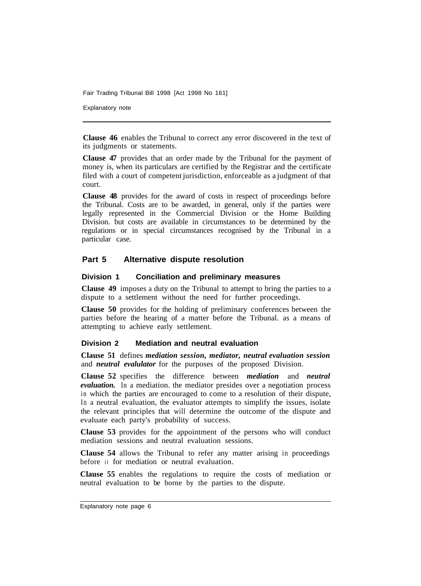Explanatory note

**Clause 46** enables the Tribunal to correct any error discovered in the text of its judgments or statements.

**Clause 47** provides that an order made by the Tribunal for the payment of money is, when its particulars are certified by the Registrar and the certificate filed with a court of competent jurisdiction, enforceable as a judgment of that court.

**Clause 48** provides for the award of costs in respect of proceedings before the Tribunal. Costs are to be awarded, in general, only if the parties were legally represented in the Commercial Division or the Home Building Division. but costs are available in circumstances to be determined by the regulations or in special circumstances recognised by the Tribunal in a particular case.

#### **Part 5 Alternative dispute resolution**

#### **Division 1 Conciliation and preliminary measures**

**Clause 49** imposes a duty on the Tribunal to attempt to bring the parties to a dispute to a settlement without the need for further proceedings.

**Clause 50** provides for the holding of preliminary conferences between the parties before the hearing of a matter before the Tribunal. as a means of attempting to achieve early settlement.

#### **Division 2 Mediation and neutral evaluation**

**Clause 51** defines *mediation session, mediator, neutral evaluation session*  and *neutral evalulator* for the purposes of the proposed Division.

**Clause 52** specifies the difference between *mediation* and *neutral evaluation.* In a mediation. the mediator presides over a negotiation process in which the parties are encouraged to come to a resolution of their dispute, In a neutral evaluation, the evaluator attempts to simplify the issues, isolate the relevant principles that will determine the outcome of the dispute and evaluate each party's probability of success.

**Clause 53** provides for the appointment of the persons who will conduct mediation sessions and neutral evaluation sessions.

**Clause 54** allows the Tribunal to refer any matter arising in proceedings before it for mediation or neutral evaluation.

**Clause 55** enables the regulations to require the costs of mediation or neutral evaluation to be borne by the parties to the dispute.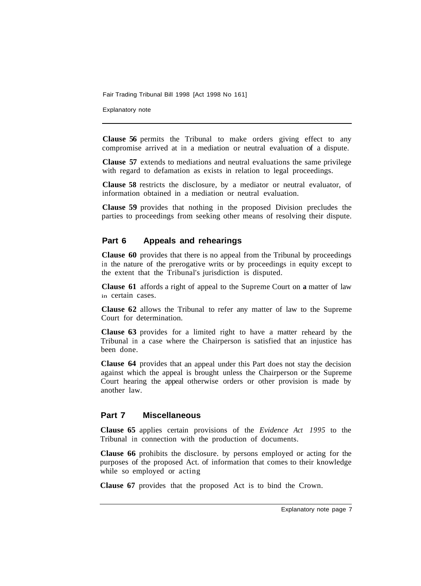Explanatory note

**Clause 56** permits the Tribunal to make orders giving effect to any compromise arrived at in a mediation or neutral evaluation of a dispute.

**Clause 57** extends to mediations and neutral evaluations the same privilege with regard to defamation as exists in relation to legal proceedings.

**Clause 58** restricts the disclosure, by a mediator or neutral evaluator, of information obtained in a mediation or neutral evaluation.

**Clause 59** provides that nothing in the proposed Division precludes the parties to proceedings from seeking other means of resolving their dispute.

#### **Part 6 Appeals and rehearings**

**Clause 60** provides that there is no appeal from the Tribunal by proceedings in the nature of the prerogative writs or by proceedings in equity except to the extent that the Tribunal's jurisdiction is disputed.

**Clause 61** affords a right of appeal to the Supreme Court on **a** matter of law in certain cases.

**Clause 62** allows the Tribunal to refer any matter of law to the Supreme Court for determination.

**Clause 63** provides for a limited right to have a matter reheard by the Tribunal in a case where the Chairperson is satisfied that an injustice has been done.

**Clause 64** provides that an appeal under this Part does not stay the decision against which the appeal is brought unless the Chairperson or the Supreme Court hearing the appeal otherwise orders or other provision is made by another law.

#### **Part 7 Miscellaneous**

**Clause 65** applies certain provisions of the *Evidence Act 1995* to the Tribunal in connection with the production of documents.

**Clause 66** prohibits the disclosure. by persons employed or acting for the purposes of the proposed Act. of information that comes to their knowledge while so employed or acting

**Clause 67** provides that the proposed Act is to bind the Crown.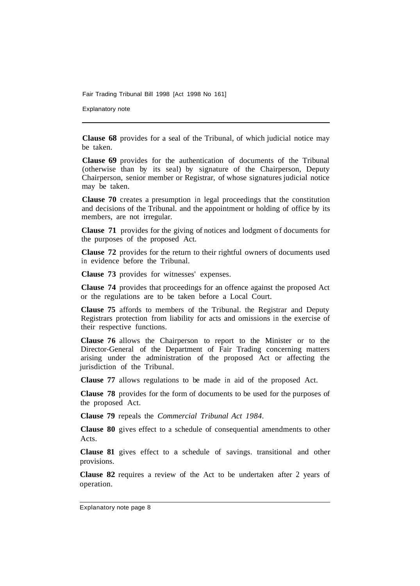Explanatory note

**Clause 68** provides for a seal of the Tribunal, of which judicial notice may be taken.

**Clause 69** provides for the authentication of documents of the Tribunal (otherwise than by its seal) by signature of the Chairperson, Deputy Chairperson, senior member or Registrar, of whose signatures judicial notice may be taken.

**Clause 70** creates a presumption in legal proceedings that the constitution and decisions of the Tribunal. and the appointment or holding of office by its members, are not irregular.

**Clause 71** provides for the giving of notices and lodgment of documents for the purposes of the proposed Act.

**Clause 72** provides for the return to their rightful owners of documents used in evidence before the Tribunal.

**Clause 73** provides for witnesses' expenses.

**Clause 74** provides that proceedings for an offence against the proposed Act or the regulations are to be taken before a Local Court.

**Clause 75** affords to members of the Tribunal. the Registrar and Deputy Registrars protection from liability for acts and omissions in the exercise of their respective functions.

**Clause 76** allows the Chairperson to report to the Minister or to the Director-General of the Department of Fair Trading concerning matters arising under the administration of the proposed Act or affecting the jurisdiction of the Tribunal.

**Clause 77** allows regulations to be made in aid of the proposed Act.

**Clause 78** provides for the form of documents to be used for the purposes of the proposed Act.

**Clause 79** repeals the *Commercial Tribunal Act 1984.* 

**Clause 80** gives effect to a schedule of consequential amendments to other Acts.

**Clause 81** gives effect to a schedule of savings. transitional and other provisions.

**Clause 82** requires a review of the Act to be undertaken after 2 years of operation.

Explanatory note page 8